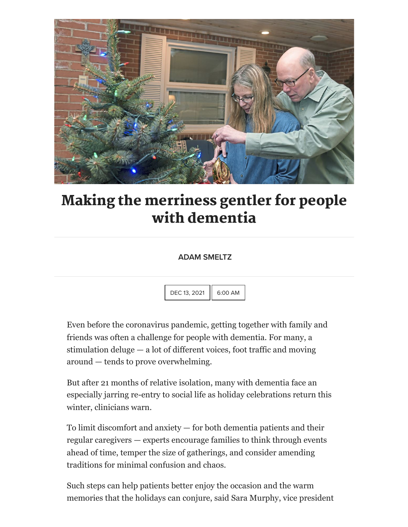

## Making the merriness gentler for people with dementia

## ADAM SMELTZ

 $DEC$  13, 2021  $|| 6:00$  AM

Even before the coronavirus pandemic, getting together with family and friends was often a challenge for people with dementia. For many, a stimulation deluge — a lot of different voices, foot traffic and moving around — tends to prove overwhelming.

But after 21 months of relative isolation, many with dementia face an especially jarring re-entry to social life as holiday celebrations return this winter, clinicians warn.

To limit discomfort and anxiety — for both dementia patients and their regular caregivers — experts encourage families to think through events ahead of time, temper the size of gatherings, and consider amending traditions for minimal confusion and chaos.

Such steps can help patients better enjoy the occasion and the warm memories that the holidays can conjure, said Sara Murphy, vice president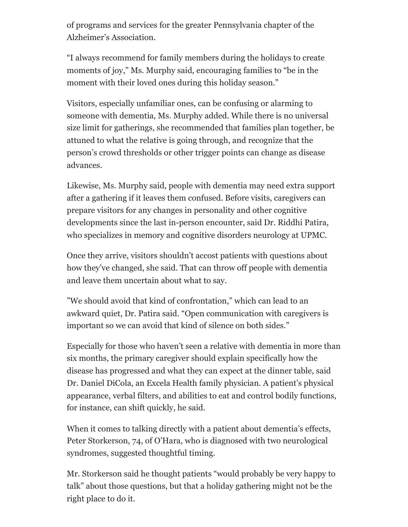of programs and services for the greater Pennsylvania chapter of the Alzheimer's Association.

"I always recommend for family members during the holidays to create moments of joy," Ms. Murphy said, encouraging families to "be in the moment with their loved ones during this holiday season."

Visitors, especially unfamiliar ones, can be confusing or alarming to someone with dementia, Ms. Murphy added. While there is no universal size limit for gatherings, she recommended that families plan together, be attuned to what the relative is going through, and recognize that the person's crowd thresholds or other trigger points can change as disease advances.

Likewise, Ms. Murphy said, people with dementia may need extra support after a gathering if it leaves them confused. Before visits, caregivers can prepare visitors for any changes in personality and other cognitive developments since the last in-person encounter, said Dr. Riddhi Patira, who specializes in memory and cognitive disorders neurology at UPMC.

Once they arrive, visitors shouldn't accost patients with questions about how they've changed, she said. That can throw off people with dementia and leave them uncertain about what to say.

"We should avoid that kind of confrontation," which can lead to an awkward quiet, Dr. Patira said. "Open communication with caregivers is important so we can avoid that kind of silence on both sides."

Especially for those who haven't seen a relative with dementia in more than six months, the primary caregiver should explain specifically how the disease has progressed and what they can expect at the dinner table, said Dr. Daniel DiCola, an Excela Health family physician. A patient's physical appearance, verbal filters, and abilities to eat and control bodily functions, for instance, can shift quickly, he said.

When it comes to talking directly with a patient about dementia's effects, Peter Storkerson, 74, of O'Hara, who is diagnosed with two neurological syndromes, suggested thoughtful timing.

Mr. Storkerson said he thought patients "would probably be very happy to talk" about those questions, but that a holiday gathering might not be the right place to do it.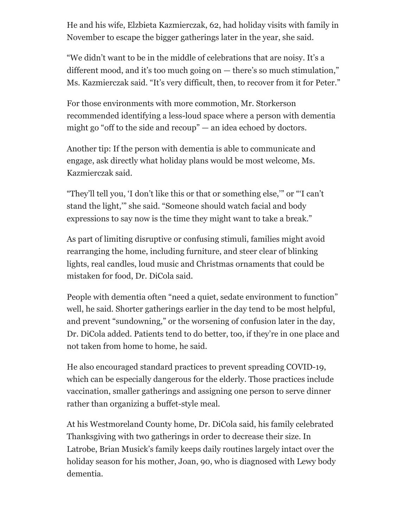He and his wife, Elzbieta Kazmierczak, 62, had holiday visits with family in November to escape the bigger gatherings later in the year, she said.

"We didn't want to be in the middle of celebrations that are noisy. It's a different mood, and it's too much going on — there's so much stimulation," Ms. Kazmierczak said. "It's very difficult, then, to recover from it for Peter."

For those environments with more commotion, Mr. Storkerson recommended identifying a less-loud space where a person with dementia might go "off to the side and recoup" — an idea echoed by doctors.

Another tip: If the person with dementia is able to communicate and engage, ask directly what holiday plans would be most welcome, Ms. Kazmierczak said.

"They'll tell you, 'I don't like this or that or something else,'" or "'I can't stand the light,'" she said. "Someone should watch facial and body expressions to say now is the time they might want to take a break."

As part of limiting disruptive or confusing stimuli, families might avoid rearranging the home, including furniture, and steer clear of blinking lights, real candles, loud music and Christmas ornaments that could be mistaken for food, Dr. DiCola said.

People with dementia often "need a quiet, sedate environment to function" well, he said. Shorter gatherings earlier in the day tend to be most helpful, and prevent "sundowning," or the worsening of confusion later in the day, Dr. DiCola added. Patients tend to do better, too, if they're in one place and not taken from home to home, he said.

He also encouraged standard practices to prevent spreading COVID-19, which can be especially dangerous for the elderly. Those practices include vaccination, smaller gatherings and assigning one person to serve dinner rather than organizing a buffet-style meal.

At his Westmoreland County home, Dr. DiCola said, his family celebrated Thanksgiving with two gatherings in order to decrease their size. In Latrobe, Brian Musick's family keeps daily routines largely intact over the holiday season for his mother, Joan, 90, who is diagnosed with Lewy body dementia.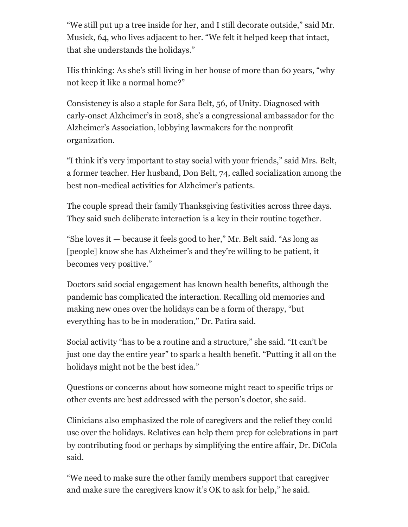"We still put up a tree inside for her, and I still decorate outside," said Mr. Musick, 64, who lives adjacent to her. "We felt it helped keep that intact, that she understands the holidays."

His thinking: As she's still living in her house of more than 60 years, "why not keep it like a normal home?"

Consistency is also a staple for Sara Belt, 56, of Unity. Diagnosed with early-onset Alzheimer's in 2018, she's a congressional ambassador for the Alzheimer's Association, lobbying lawmakers for the nonprofit organization.

"I think it's very important to stay social with your friends," said Mrs. Belt, a former teacher. Her husband, Don Belt, 74, called socialization among the best non-medical activities for Alzheimer's patients.

The couple spread their family Thanksgiving festivities across three days. They said such deliberate interaction is a key in their routine together.

"She loves it — because it feels good to her," Mr. Belt said. "As long as [people] know she has Alzheimer's and they're willing to be patient, it becomes very positive."

Doctors said social engagement has known health benefits, although the pandemic has complicated the interaction. Recalling old memories and making new ones over the holidays can be a form of therapy, "but everything has to be in moderation," Dr. Patira said.

Social activity "has to be a routine and a structure," she said. "It can't be just one day the entire year" to spark a health benefit. "Putting it all on the holidays might not be the best idea."

Questions or concerns about how someone might react to specific trips or other events are best addressed with the person's doctor, she said.

Clinicians also emphasized the role of caregivers and the relief they could use over the holidays. Relatives can help them prep for celebrations in part by contributing food or perhaps by simplifying the entire affair, Dr. DiCola said.

"We need to make sure the other family members support that caregiver and make sure the caregivers know it's OK to ask for help," he said.